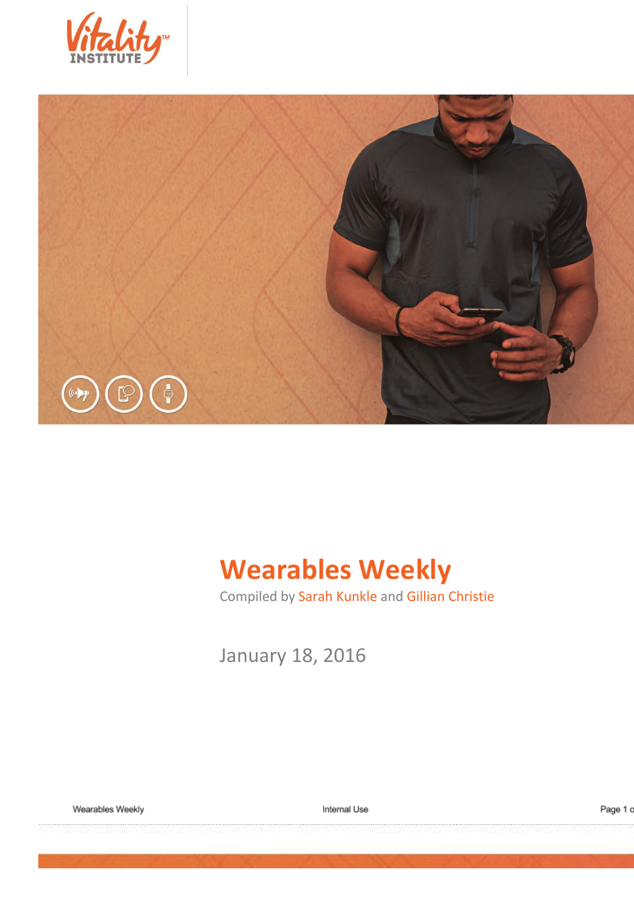



# **Wearables Weekly**

Compiled by Sarah Kunkle and Gillian Christie

January 18, 2016

Wearables Weekly

Internal Use

Page 1 c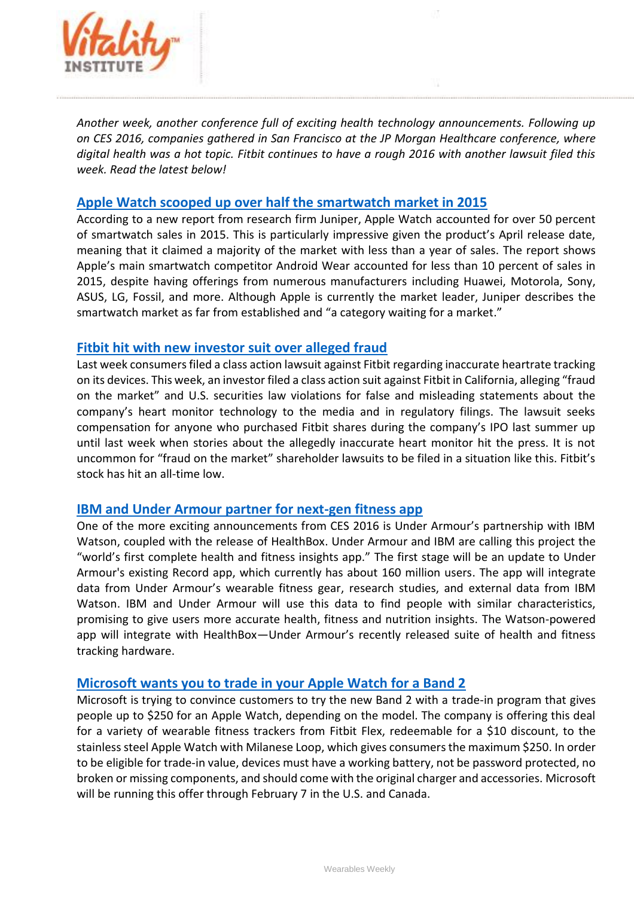

*Another week, another conference full of exciting health technology announcements. Following up on CES 2016, companies gathered in San Francisco at the JP Morgan Healthcare conference, where digital health was a hot topic. Fitbit continues to have a rough 2016 with another lawsuit filed this week. Read the latest below!*

#### **[Apple Watch scooped up over half the smartwatch market in 2015](http://techcrunch.com/2016/01/13/apple-watch-scooped-up-over-half-the-smartwatch-market-in-2015/)**

According to a new report from research firm Juniper, Apple Watch accounted for over 50 percent of smartwatch sales in 2015. This is particularly impressive given the product's April release date, meaning that it claimed a majority of the market with less than a year of sales. The report shows Apple's main smartwatch competitor Android Wear accounted for less than 10 percent of sales in 2015, despite having offerings from numerous manufacturers including Huawei, Motorola, Sony, ASUS, LG, Fossil, and more. Although Apple is currently the market leader, Juniper describes the smartwatch market as far from established and "a category waiting for a market."

### **[Fitbit hit with new investor suit over alleged fraud](http://fortune.com/2016/01/12/fitbit-investor-class-action/)**

Last week consumers filed a class action lawsuit against Fitbit regarding inaccurate heartrate tracking on its devices. This week, an investor filed a class action suit against Fitbit in California, alleging "fraud on the market" and U.S. securities law violations for false and misleading statements about the company's heart monitor technology to the media and in regulatory filings. The lawsuit seeks compensation for anyone who purchased Fitbit shares during the company's IPO last summer up until last week when stories about the allegedly inaccurate heart monitor hit the press. It is not uncommon for "fraud on the market" shareholder lawsuits to be filed in a situation like this. Fitbit's stock has hit an all-time low.

### **[IBM and Under Armour partner for next-gen fitness app](http://mashable.com/2016/01/07/ibm-and-under-armour-fitness-app/#Tr7W9eS1.PqG)**

One of the more exciting announcements from CES 2016 is Under Armour's partnership with IBM Watson, coupled with the release of HealthBox. Under Armour and IBM are calling this project the "world's first complete health and fitness insights app." The first stage will be an update to Under Armour's existing Record app, which currently has about 160 million users. The app will integrate data from Under Armour's wearable fitness gear, research studies, and external data from IBM Watson. IBM and Under Armour will use this data to find people with similar characteristics, promising to give users more accurate health, fitness and nutrition insights. The Watson-powered app will integrate with HealthBox—Under Armour's recently released suite of health and fitness tracking hardware.

### **[Microsoft wants you to trade in your Apple Watch for a Band 2](http://www.cultofmac.com/407077/microsoft-wants-you-to-trade-in-your-apple-watch-for-a-band-2/)**

Microsoft is trying to convince customers to try the new Band 2 with a trade-in program that gives people up to \$250 for an Apple Watch, depending on the model. The company is offering this deal for a variety of wearable fitness trackers from Fitbit Flex, redeemable for a \$10 discount, to the stainless steel Apple Watch with Milanese Loop, which gives consumers the maximum \$250. In order to be eligible for trade-in value, devices must have a working battery, not be password protected, no broken or missing components, and should come with the original charger and accessories. Microsoft will be running this offer through February 7 in the U.S. and Canada.